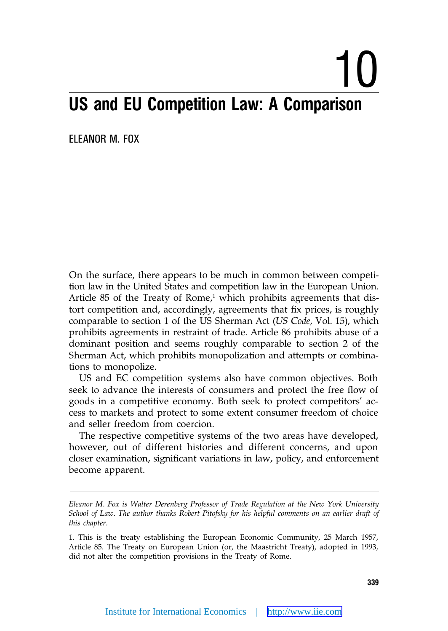# 10 US and EU Competition Law: A Comparison

ELEANOR M. FOX

On the surface, there appears to be much in common between competition law in the United States and competition law in the European Union. Article 85 of the Treaty of Rome,<sup>1</sup> which prohibits agreements that distort competition and, accordingly, agreements that fix prices, is roughly comparable to section 1 of the US Sherman Act (US Code, Vol. 15), which prohibits agreements in restraint of trade. Article 86 prohibits abuse of a dominant position and seems roughly comparable to section 2 of the Sherman Act, which prohibits monopolization and attempts or combinations to monopolize.

US and EC competition systems also have common objectives. Both seek to advance the interests of consumers and protect the free flow of goods in a competitive economy. Both seek to protect competitors' access to markets and protect to some extent consumer freedom of choice and seller freedom from coercion.

The respective competitive systems of the two areas have developed, however, out of different histories and different concerns, and upon closer examination, significant variations in law, policy, and enforcement become apparent.

Eleanor M. Fox is Walter Derenberg Professor of Trade Regulation at the New York University School of Law. The author thanks Robert Pitofsky for his helpful comments on an earlier draft of this chapter.

<sup>1.</sup> This is the treaty establishing the European Economic Community, 25 March 1957, Article 85. The Treaty on European Union (or, the Maastricht Treaty), adopted in 1993, did not alter the competition provisions in the Treaty of Rome.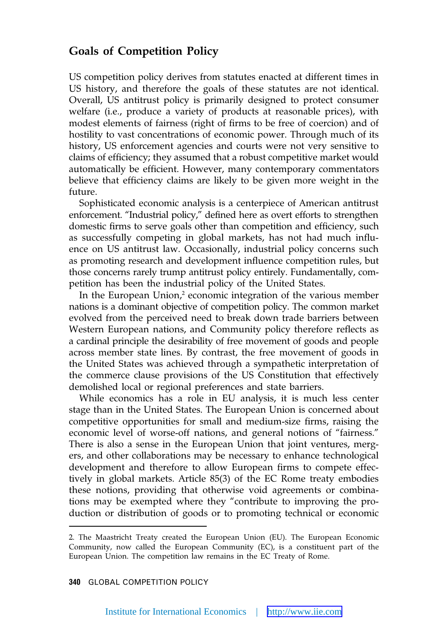# Goals of Competition Policy

US competition policy derives from statutes enacted at different times in US history, and therefore the goals of these statutes are not identical. Overall, US antitrust policy is primarily designed to protect consumer welfare (i.e., produce a variety of products at reasonable prices), with modest elements of fairness (right of firms to be free of coercion) and of hostility to vast concentrations of economic power. Through much of its history, US enforcement agencies and courts were not very sensitive to claims of efficiency; they assumed that a robust competitive market would automatically be efficient. However, many contemporary commentators believe that efficiency claims are likely to be given more weight in the future.

Sophisticated economic analysis is a centerpiece of American antitrust enforcement. "Industrial policy," defined here as overt efforts to strengthen domestic firms to serve goals other than competition and efficiency, such as successfully competing in global markets, has not had much influence on US antitrust law. Occasionally, industrial policy concerns such as promoting research and development influence competition rules, but those concerns rarely trump antitrust policy entirely. Fundamentally, competition has been the industrial policy of the United States.

In the European Union,<sup>2</sup> economic integration of the various member nations is a dominant objective of competition policy. The common market evolved from the perceived need to break down trade barriers between Western European nations, and Community policy therefore reflects as a cardinal principle the desirability of free movement of goods and people across member state lines. By contrast, the free movement of goods in the United States was achieved through a sympathetic interpretation of the commerce clause provisions of the US Constitution that effectively demolished local or regional preferences and state barriers.

While economics has a role in EU analysis, it is much less center stage than in the United States. The European Union is concerned about competitive opportunities for small and medium-size firms, raising the economic level of worse-off nations, and general notions of "fairness." There is also a sense in the European Union that joint ventures, mergers, and other collaborations may be necessary to enhance technological development and therefore to allow European firms to compete effectively in global markets. Article 85(3) of the EC Rome treaty embodies these notions, providing that otherwise void agreements or combinations may be exempted where they "contribute to improving the production or distribution of goods or to promoting technical or economic

<sup>2.</sup> The Maastricht Treaty created the European Union (EU). The European Economic Community, now called the European Community (EC), is a constituent part of the European Union. The competition law remains in the EC Treaty of Rome.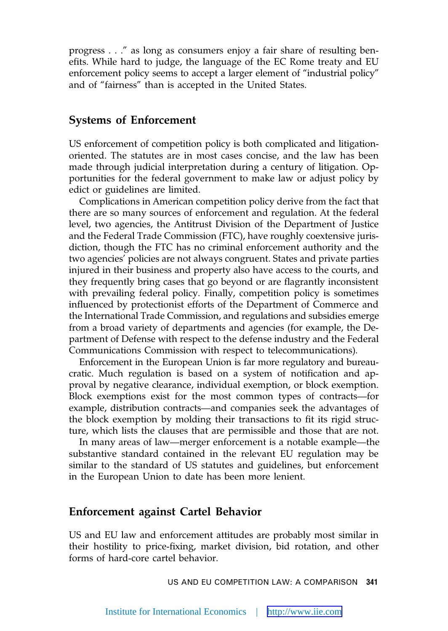progress . . ." as long as consumers enjoy a fair share of resulting benefits. While hard to judge, the language of the EC Rome treaty and EU enforcement policy seems to accept a larger element of "industrial policy" and of "fairness" than is accepted in the United States.

### Systems of Enforcement

US enforcement of competition policy is both complicated and litigationoriented. The statutes are in most cases concise, and the law has been made through judicial interpretation during a century of litigation. Opportunities for the federal government to make law or adjust policy by edict or guidelines are limited.

Complications in American competition policy derive from the fact that there are so many sources of enforcement and regulation. At the federal level, two agencies, the Antitrust Division of the Department of Justice and the Federal Trade Commission (FTC), have roughly coextensive jurisdiction, though the FTC has no criminal enforcement authority and the two agencies' policies are not always congruent. States and private parties injured in their business and property also have access to the courts, and they frequently bring cases that go beyond or are flagrantly inconsistent with prevailing federal policy. Finally, competition policy is sometimes influenced by protectionist efforts of the Department of Commerce and the International Trade Commission, and regulations and subsidies emerge from a broad variety of departments and agencies (for example, the Department of Defense with respect to the defense industry and the Federal Communications Commission with respect to telecommunications).

Enforcement in the European Union is far more regulatory and bureaucratic. Much regulation is based on a system of notification and approval by negative clearance, individual exemption, or block exemption. Block exemptions exist for the most common types of contracts-for example, distribution contracts—and companies seek the advantages of the block exemption by molding their transactions to fit its rigid structure, which lists the clauses that are permissible and those that are not.

In many areas of law—merger enforcement is a notable example—the substantive standard contained in the relevant EU regulation may be similar to the standard of US statutes and guidelines, but enforcement in the European Union to date has been more lenient.

## Enforcement against Cartel Behavior

US and EU law and enforcement attitudes are probably most similar in their hostility to price-fixing, market division, bid rotation, and other forms of hard-core cartel behavior.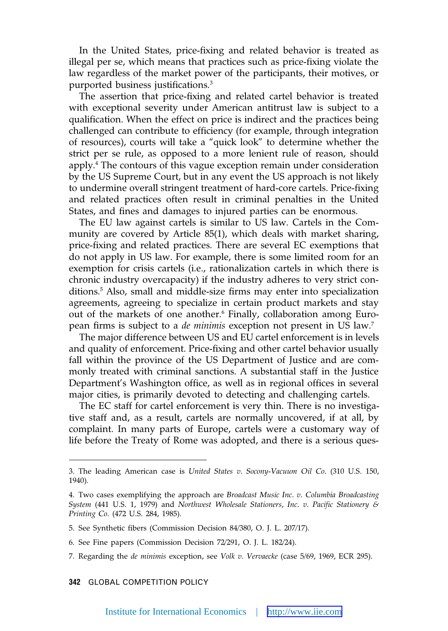In the United States, price-fixing and related behavior is treated as illegal per se, which means that practices such as price-fixing violate the law regardless of the market power of the participants, their motives, or purported business justifications.3

The assertion that price-fixing and related cartel behavior is treated with exceptional severity under American antitrust law is subject to a qualification. When the effect on price is indirect and the practices being challenged can contribute to efficiency (for example, through integration of resources), courts will take a "quick look" to determine whether the strict per se rule, as opposed to a more lenient rule of reason, should apply.4 The contours of this vague exception remain under consideration by the US Supreme Court, but in any event the US approach is not likely to undermine overall stringent treatment of hard-core cartels. Price-fixing and related practices often result in criminal penalties in the United States, and fines and damages to injured parties can be enormous.

The EU law against cartels is similar to US law. Cartels in the Community are covered by Article 85(1), which deals with market sharing, price-fixing and related practices. There are several EC exemptions that do not apply in US law. For example, there is some limited room for an exemption for crisis cartels (i.e., rationalization cartels in which there is chronic industry overcapacity) if the industry adheres to very strict conditions.5 Also, small and middle-size firms may enter into specialization agreements, agreeing to specialize in certain product markets and stay out of the markets of one another.<sup>6</sup> Finally, collaboration among European firms is subject to a *de minimis* exception not present in US law.<sup>7</sup>

The major difference between US and EU cartel enforcement is in levels and quality of enforcement. Price-fixing and other cartel behavior usually fall within the province of the US Department of Justice and are commonly treated with criminal sanctions. A substantial staff in the Justice Department's Washington office, as well as in regional offices in several major cities, is primarily devoted to detecting and challenging cartels.

The EC staff for cartel enforcement is very thin. There is no investigative staff and, as a result, cartels are normally uncovered, if at all, by complaint. In many parts of Europe, cartels were a customary way of life before the Treaty of Rome was adopted, and there is a serious ques-

7. Regarding the *de minimis* exception, see Volk v. Vervaecke (case 5/69, 1969, ECR 295).

#### 342 GLOBAL COMPETITION POLICY

<sup>3.</sup> The leading American case is United States v. Socony-Vacuum Oil Co. (310 U.S. 150, 1940).

<sup>4.</sup> Two cases exemplifying the approach are Broadcast Music Inc. v. Columbia Broadcasting System (441 U.S. 1, 1979) and Northwest Wholesale Stationers, Inc. v. Pacific Stationery & Printing Co. (472 U.S. 284, 1985).

<sup>5.</sup> See Synthetic fibers (Commission Decision 84/380, O. J. L. 207/17).

<sup>6.</sup> See Fine papers (Commission Decision 72/291, O. J. L. 182/24).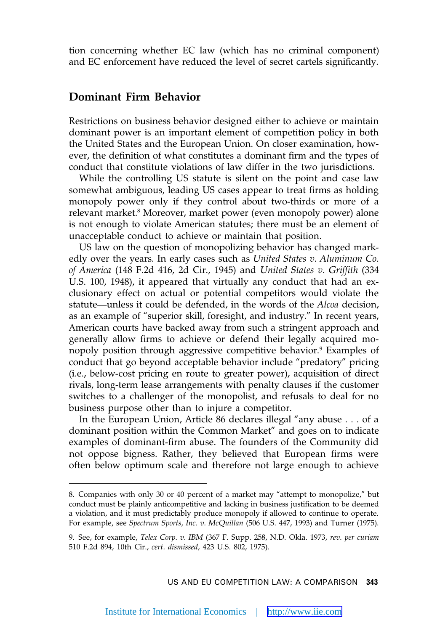tion concerning whether EC law (which has no criminal component) and EC enforcement have reduced the level of secret cartels significantly.

#### Dominant Firm Behavior

Restrictions on business behavior designed either to achieve or maintain dominant power is an important element of competition policy in both the United States and the European Union. On closer examination, however, the definition of what constitutes a dominant firm and the types of conduct that constitute violations of law differ in the two jurisdictions.

While the controlling US statute is silent on the point and case law somewhat ambiguous, leading US cases appear to treat firms as holding monopoly power only if they control about two-thirds or more of a relevant market.<sup>8</sup> Moreover, market power (even monopoly power) alone is not enough to violate American statutes; there must be an element of unacceptable conduct to achieve or maintain that position.

US law on the question of monopolizing behavior has changed markedly over the years. In early cases such as United States v. Aluminum Co. of America (148 F.2d 416, 2d Cir., 1945) and United States v. Griffith (334 U.S. 100, 1948), it appeared that virtually any conduct that had an exclusionary effect on actual or potential competitors would violate the statute—unless it could be defended, in the words of the Alcoa decision, as an example of "superior skill, foresight, and industry." In recent years, American courts have backed away from such a stringent approach and generally allow firms to achieve or defend their legally acquired monopoly position through aggressive competitive behavior.9 Examples of conduct that go beyond acceptable behavior include "predatory" pricing (i.e., below-cost pricing en route to greater power), acquisition of direct rivals, long-term lease arrangements with penalty clauses if the customer switches to a challenger of the monopolist, and refusals to deal for no business purpose other than to injure a competitor.

In the European Union, Article 86 declares illegal "any abuse  $\dots$  of a dominant position within the Common Market" and goes on to indicate examples of dominant-firm abuse. The founders of the Community did not oppose bigness. Rather, they believed that European firms were often below optimum scale and therefore not large enough to achieve

<sup>8.</sup> Companies with only 30 or 40 percent of a market may "attempt to monopolize," but conduct must be plainly anticompetitive and lacking in business justification to be deemed a violation, and it must predictably produce monopoly if allowed to continue to operate. For example, see Spectrum Sports, Inc. v. McQuillan (506 U.S. 447, 1993) and Turner (1975).

<sup>9.</sup> See, for example, Telex Corp. v. IBM (367 F. Supp. 258, N.D. Okla. 1973, rev. per curiam 510 F.2d 894, 10th Cir., cert. dismissed, 423 U.S. 802, 1975).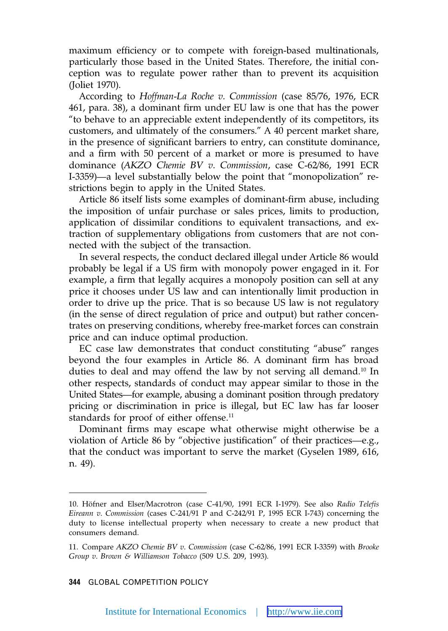maximum efficiency or to compete with foreign-based multinationals, particularly those based in the United States. Therefore, the initial conception was to regulate power rather than to prevent its acquisition (Joliet 1970).

According to Hoffman-La Roche v. Commission (case 85/76, 1976, ECR 461, para. 38), a dominant firm under EU law is one that has the power to behave to an appreciable extent independently of its competitors, its customers, and ultimately of the consumers." A 40 percent market share, in the presence of significant barriers to entry, can constitute dominance, and a firm with 50 percent of a market or more is presumed to have dominance (AKZO Chemie BV v. Commission, case C-62/86, 1991 ECR I-3359)—a level substantially below the point that "monopolization" restrictions begin to apply in the United States.

Article 86 itself lists some examples of dominant-firm abuse, including the imposition of unfair purchase or sales prices, limits to production, application of dissimilar conditions to equivalent transactions, and extraction of supplementary obligations from customers that are not connected with the subject of the transaction.

In several respects, the conduct declared illegal under Article 86 would probably be legal if a US firm with monopoly power engaged in it. For example, a firm that legally acquires a monopoly position can sell at any price it chooses under US law and can intentionally limit production in order to drive up the price. That is so because US law is not regulatory (in the sense of direct regulation of price and output) but rather concentrates on preserving conditions, whereby free-market forces can constrain price and can induce optimal production.

EC case law demonstrates that conduct constituting "abuse" ranges beyond the four examples in Article 86. A dominant firm has broad duties to deal and may offend the law by not serving all demand.<sup>10</sup> In other respects, standards of conduct may appear similar to those in the United States-for example, abusing a dominant position through predatory pricing or discrimination in price is illegal, but EC law has far looser standards for proof of either offense.<sup>11</sup>

Dominant firms may escape what otherwise might otherwise be a violation of Article 86 by "objective justification" of their practices—e.g., that the conduct was important to serve the market (Gyselen 1989, 616, n. 49).

<sup>10.</sup> Höfner and Elser/Macrotron (case C-41/90, 1991 ECR I-1979). See also Radio Telefis Eireann v. Commission (cases C-241/91 P and C-242/91 P, 1995 ECR I-743) concerning the duty to license intellectual property when necessary to create a new product that consumers demand.

<sup>11.</sup> Compare AKZO Chemie BV v. Commission (case C-62/86, 1991 ECR I-3359) with Brooke Group v. Brown & Williamson Tobacco (509 U.S. 209, 1993).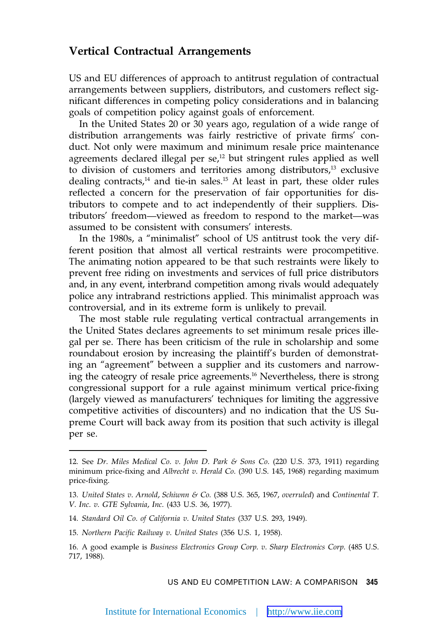#### Vertical Contractual Arrangements

US and EU differences of approach to antitrust regulation of contractual arrangements between suppliers, distributors, and customers reflect significant differences in competing policy considerations and in balancing goals of competition policy against goals of enforcement.

In the United States 20 or 30 years ago, regulation of a wide range of distribution arrangements was fairly restrictive of private firms' conduct. Not only were maximum and minimum resale price maintenance agreements declared illegal per se,<sup>12</sup> but stringent rules applied as well to division of customers and territories among distributors,13 exclusive dealing contracts, $14$  and tie-in sales. $15$  At least in part, these older rules reflected a concern for the preservation of fair opportunities for distributors to compete and to act independently of their suppliers. Distributors' freedom—viewed as freedom to respond to the market—was assumed to be consistent with consumers' interests.

In the 1980s, a "minimalist" school of US antitrust took the very different position that almost all vertical restraints were procompetitive. The animating notion appeared to be that such restraints were likely to prevent free riding on investments and services of full price distributors and, in any event, interbrand competition among rivals would adequately police any intrabrand restrictions applied. This minimalist approach was controversial, and in its extreme form is unlikely to prevail.

The most stable rule regulating vertical contractual arrangements in the United States declares agreements to set minimum resale prices illegal per se. There has been criticism of the rule in scholarship and some roundabout erosion by increasing the plaintiff's burden of demonstrating an "agreement" between a supplier and its customers and narrowing the cateogry of resale price agreements.16 Nevertheless, there is strong congressional support for a rule against minimum vertical price-fixing (largely viewed as manufacturers' techniques for limiting the aggressive competitive activities of discounters) and no indication that the US Supreme Court will back away from its position that such activity is illegal per se.

<sup>12.</sup> See Dr. Miles Medical Co. v. John D. Park & Sons Co. (220 U.S. 373, 1911) regarding minimum price-fixing and Albrecht v. Herald Co. (390 U.S. 145, 1968) regarding maximum price-fixing.

<sup>13.</sup> United States v. Arnold, Schiwnn & Co. (388 U.S. 365, 1967, overruled) and Continental T. V. Inc. v. GTE Sylvania, Inc. (433 U.S. 36, 1977).

<sup>14.</sup> Standard Oil Co. of California v. United States (337 U.S. 293, 1949).

<sup>15.</sup> Northern Pacific Railway v. United States (356 U.S. 1, 1958).

<sup>16.</sup> A good example is Business Electronics Group Corp. v. Sharp Electronics Corp. (485 U.S. 717, 1988).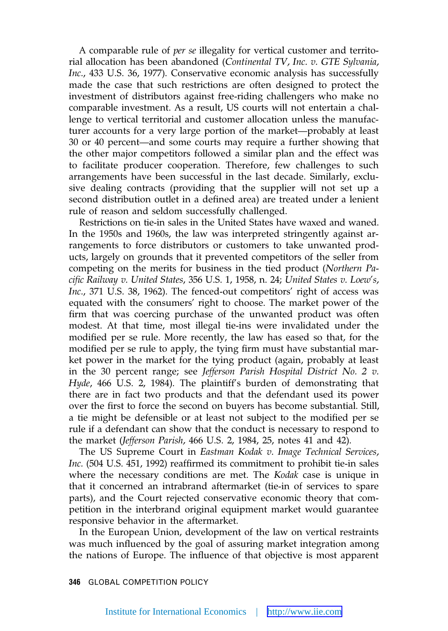A comparable rule of *per se* illegality for vertical customer and territorial allocation has been abandoned (Continental TV, Inc. v. GTE Sylvania, Inc., 433 U.S. 36, 1977). Conservative economic analysis has successfully made the case that such restrictions are often designed to protect the investment of distributors against free-riding challengers who make no comparable investment. As a result, US courts will not entertain a challenge to vertical territorial and customer allocation unless the manufacturer accounts for a very large portion of the market—probably at least 30 or 40 percent—and some courts may require a further showing that the other major competitors followed a similar plan and the effect was to facilitate producer cooperation. Therefore, few challenges to such arrangements have been successful in the last decade. Similarly, exclusive dealing contracts (providing that the supplier will not set up a second distribution outlet in a defined area) are treated under a lenient rule of reason and seldom successfully challenged.

Restrictions on tie-in sales in the United States have waxed and waned. In the 1950s and 1960s, the law was interpreted stringently against arrangements to force distributors or customers to take unwanted products, largely on grounds that it prevented competitors of the seller from competing on the merits for business in the tied product (Northern Pacific Railway v. United States, 356 U.S. 1, 1958, n. 24; United States v. Loews, Inc., 371 U.S. 38, 1962). The fenced-out competitors' right of access was equated with the consumers' right to choose. The market power of the firm that was coercing purchase of the unwanted product was often modest. At that time, most illegal tie-ins were invalidated under the modified per se rule. More recently, the law has eased so that, for the modified per se rule to apply, the tying firm must have substantial market power in the market for the tying product (again, probably at least in the 30 percent range; see Jefferson Parish Hospital District No. 2 v. Hyde, 466 U.S. 2, 1984). The plaintiff's burden of demonstrating that there are in fact two products and that the defendant used its power over the first to force the second on buyers has become substantial. Still, a tie might be defensible or at least not subject to the modified per se rule if a defendant can show that the conduct is necessary to respond to the market (Jefferson Parish, 466 U.S. 2, 1984, 25, notes 41 and 42).

The US Supreme Court in Eastman Kodak v. Image Technical Services, Inc. (504 U.S. 451, 1992) reaffirmed its commitment to prohibit tie-in sales where the necessary conditions are met. The Kodak case is unique in that it concerned an intrabrand aftermarket (tie-in of services to spare parts), and the Court rejected conservative economic theory that competition in the interbrand original equipment market would guarantee responsive behavior in the aftermarket.

In the European Union, development of the law on vertical restraints was much influenced by the goal of assuring market integration among the nations of Europe. The influence of that objective is most apparent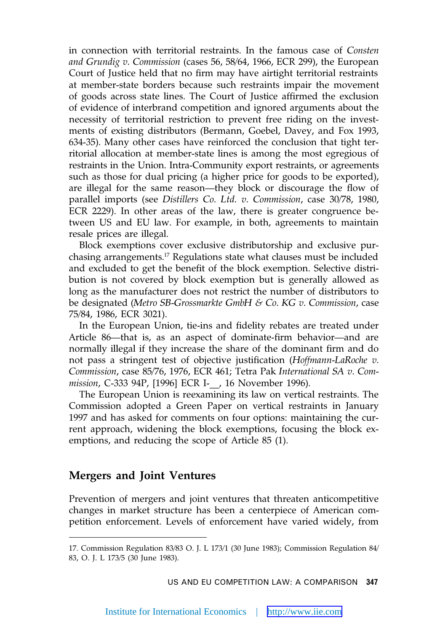in connection with territorial restraints. In the famous case of Consten and Grundig v. Commission (cases 56, 58/64, 1966, ECR 299), the European Court of Justice held that no firm may have airtight territorial restraints at member-state borders because such restraints impair the movement of goods across state lines. The Court of Justice affirmed the exclusion of evidence of interbrand competition and ignored arguments about the necessity of territorial restriction to prevent free riding on the investments of existing distributors (Bermann, Goebel, Davey, and Fox 1993, 634-35). Many other cases have reinforced the conclusion that tight territorial allocation at member-state lines is among the most egregious of restraints in the Union. Intra-Community export restraints, or agreements such as those for dual pricing (a higher price for goods to be exported), are illegal for the same reason—they block or discourage the flow of parallel imports (see Distillers Co. Ltd. v. Commission, case 30/78, 1980, ECR 2229). In other areas of the law, there is greater congruence between US and EU law. For example, in both, agreements to maintain resale prices are illegal.

Block exemptions cover exclusive distributorship and exclusive purchasing arrangements.17 Regulations state what clauses must be included and excluded to get the benefit of the block exemption. Selective distribution is not covered by block exemption but is generally allowed as long as the manufacturer does not restrict the number of distributors to be designated (Metro SB-Grossmarkte GmbH & Co. KG v. Commission, case 75/84, 1986, ECR 3021).

In the European Union, tie-ins and fidelity rebates are treated under Article 86—that is, as an aspect of dominate-firm behavior—and are normally illegal if they increase the share of the dominant firm and do not pass a stringent test of objective justification (Hoffmann-LaRoche v. Commission, case 85/76, 1976, ECR 461; Tetra Pak International SA v. Commission, C-333 94P, [1996] ECR I- \_\_, 16 November 1996).

The European Union is reexamining its law on vertical restraints. The Commission adopted a Green Paper on vertical restraints in January 1997 and has asked for comments on four options: maintaining the current approach, widening the block exemptions, focusing the block exemptions, and reducing the scope of Article 85 (1).

### Mergers and Joint Ventures

Prevention of mergers and joint ventures that threaten anticompetitive changes in market structure has been a centerpiece of American competition enforcement. Levels of enforcement have varied widely, from

<sup>17.</sup> Commission Regulation 83/83 O. J. L 173/1 (30 June 1983); Commission Regulation 84/ 83, O. J. L 173/5 (30 June 1983).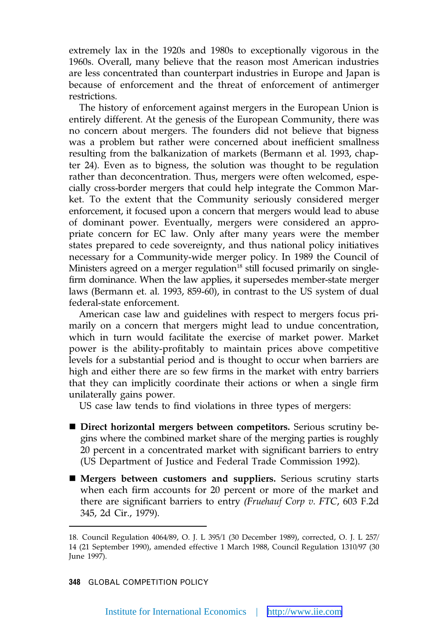extremely lax in the 1920s and 1980s to exceptionally vigorous in the 1960s. Overall, many believe that the reason most American industries are less concentrated than counterpart industries in Europe and Japan is because of enforcement and the threat of enforcement of antimerger restrictions.

The history of enforcement against mergers in the European Union is entirely different. At the genesis of the European Community, there was no concern about mergers. The founders did not believe that bigness was a problem but rather were concerned about inefficient smallness resulting from the balkanization of markets (Bermann et al. 1993, chapter 24). Even as to bigness, the solution was thought to be regulation rather than deconcentration. Thus, mergers were often welcomed, especially cross-border mergers that could help integrate the Common Market. To the extent that the Community seriously considered merger enforcement, it focused upon a concern that mergers would lead to abuse of dominant power. Eventually, mergers were considered an appropriate concern for EC law. Only after many years were the member states prepared to cede sovereignty, and thus national policy initiatives necessary for a Community-wide merger policy. In 1989 the Council of Ministers agreed on a merger regulation<sup>18</sup> still focused primarily on singlefirm dominance. When the law applies, it supersedes member-state merger laws (Bermann et. al. 1993, 859-60), in contrast to the US system of dual federal-state enforcement.

American case law and guidelines with respect to mergers focus primarily on a concern that mergers might lead to undue concentration, which in turn would facilitate the exercise of market power. Market power is the ability-profitably to maintain prices above competitive levels for a substantial period and is thought to occur when barriers are high and either there are so few firms in the market with entry barriers that they can implicitly coordinate their actions or when a single firm unilaterally gains power.

US case law tends to find violations in three types of mergers:

- Direct horizontal mergers between competitors. Serious scrutiny begins where the combined market share of the merging parties is roughly 20 percent in a concentrated market with significant barriers to entry (US Department of Justice and Federal Trade Commission 1992).
- **n** Mergers between customers and suppliers. Serious scrutiny starts when each firm accounts for 20 percent or more of the market and there are significant barriers to entry (Fruehauf Corp v. FTC, 603 F.2d 345, 2d Cir., 1979).

<sup>18.</sup> Council Regulation 4064/89, O. J. L 395/1 (30 December 1989), corrected, O. J. L 257/ 14 (21 September 1990), amended effective 1 March 1988, Council Regulation 1310/97 (30 June 1997).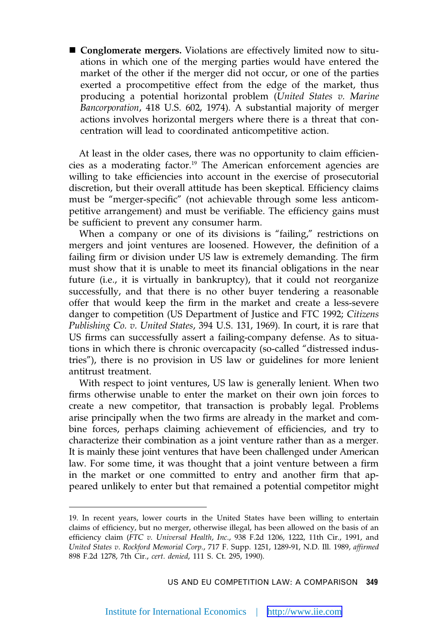**n** Conglomerate mergers. Violations are effectively limited now to situations in which one of the merging parties would have entered the market of the other if the merger did not occur, or one of the parties exerted a procompetitive effect from the edge of the market, thus producing a potential horizontal problem (United States v. Marine Bancorporation, 418 U.S. 602, 1974). A substantial majority of merger actions involves horizontal mergers where there is a threat that concentration will lead to coordinated anticompetitive action.

At least in the older cases, there was no opportunity to claim efficiencies as a moderating factor.<sup>19</sup> The American enforcement agencies are willing to take efficiencies into account in the exercise of prosecutorial discretion, but their overall attitude has been skeptical. Efficiency claims must be "merger-specific" (not achievable through some less anticompetitive arrangement) and must be verifiable. The efficiency gains must be sufficient to prevent any consumer harm.

When a company or one of its divisions is "failing," restrictions on mergers and joint ventures are loosened. However, the definition of a failing firm or division under US law is extremely demanding. The firm must show that it is unable to meet its financial obligations in the near future (i.e., it is virtually in bankruptcy), that it could not reorganize successfully, and that there is no other buyer tendering a reasonable offer that would keep the firm in the market and create a less-severe danger to competition (US Department of Justice and FTC 1992; Citizens Publishing Co. v. United States, 394 U.S. 131, 1969). In court, it is rare that US firms can successfully assert a failing-company defense. As to situations in which there is chronic overcapacity (so-called "distressed industries), there is no provision in US law or guidelines for more lenient antitrust treatment.

With respect to joint ventures, US law is generally lenient. When two firms otherwise unable to enter the market on their own join forces to create a new competitor, that transaction is probably legal. Problems arise principally when the two firms are already in the market and combine forces, perhaps claiming achievement of efficiencies, and try to characterize their combination as a joint venture rather than as a merger. It is mainly these joint ventures that have been challenged under American law. For some time, it was thought that a joint venture between a firm in the market or one committed to entry and another firm that appeared unlikely to enter but that remained a potential competitor might

<sup>19.</sup> In recent years, lower courts in the United States have been willing to entertain claims of efficiency, but no merger, otherwise illegal, has been allowed on the basis of an efficiency claim (FTC v. Universal Health, Inc., 938 F.2d 1206, 1222, 11th Cir., 1991, and United States v. Rockford Memorial Corp., 717 F. Supp. 1251, 1289-91, N.D. Ill. 1989, affirmed 898 F.2d 1278, 7th Cir., cert. denied, 111 S. Ct. 295, 1990).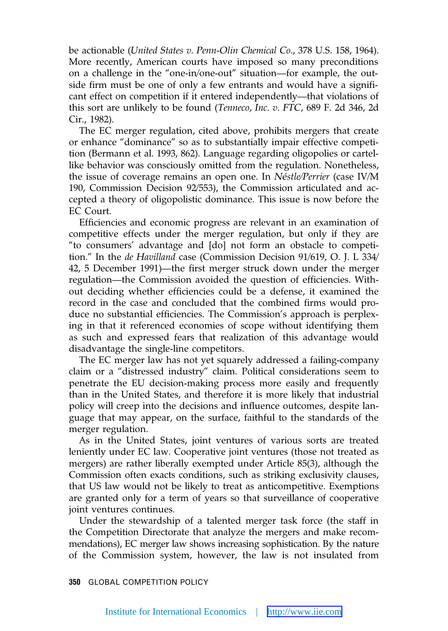be actionable (United States v. Penn-Olin Chemical Co., 378 U.S. 158, 1964). More recently, American courts have imposed so many preconditions on a challenge in the "one-in/one-out" situation—for example, the outside firm must be one of only a few entrants and would have a significant effect on competition if it entered independently—that violations of this sort are unlikely to be found (Tenneco, Inc. v. FTC, 689 F. 2d 346, 2d Cir., 1982).

The EC merger regulation, cited above, prohibits mergers that create or enhance "dominance" so as to substantially impair effective competition (Bermann et al. 1993, 862). Language regarding oligopolies or cartellike behavior was consciously omitted from the regulation. Nonetheless, the issue of coverage remains an open one. In Néstle/Perrier (case IV/M 190, Commission Decision 92/553), the Commission articulated and accepted a theory of oligopolistic dominance. This issue is now before the EC Court.

Efficiencies and economic progress are relevant in an examination of competitive effects under the merger regulation, but only if they are "to consumers' advantage and [do] not form an obstacle to competition." In the *de Havilland* case (Commission Decision 91/619, O. J. L 334/ 42, 5 December 1991)—the first merger struck down under the merger regulation-the Commission avoided the question of efficiencies. Without deciding whether efficiencies could be a defense, it examined the record in the case and concluded that the combined firms would produce no substantial efficiencies. The Commission's approach is perplexing in that it referenced economies of scope without identifying them as such and expressed fears that realization of this advantage would disadvantage the single-line competitors.

The EC merger law has not yet squarely addressed a failing-company claim or a "distressed industry" claim. Political considerations seem to penetrate the EU decision-making process more easily and frequently than in the United States, and therefore it is more likely that industrial policy will creep into the decisions and influence outcomes, despite language that may appear, on the surface, faithful to the standards of the merger regulation.

As in the United States, joint ventures of various sorts are treated leniently under EC law. Cooperative joint ventures (those not treated as mergers) are rather liberally exempted under Article 85(3), although the Commission often exacts conditions, such as striking exclusivity clauses, that US law would not be likely to treat as anticompetitive. Exemptions are granted only for a term of years so that surveillance of cooperative joint ventures continues.

Under the stewardship of a talented merger task force (the staff in the Competition Directorate that analyze the mergers and make recommendations), EC merger law shows increasing sophistication. By the nature of the Commission system, however, the law is not insulated from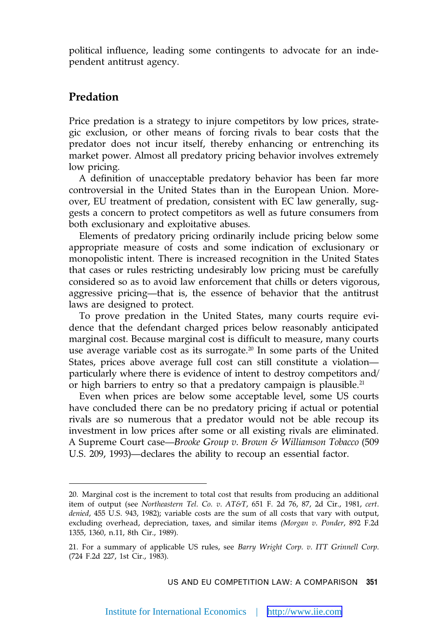political influence, leading some contingents to advocate for an independent antitrust agency.

#### Predation

Price predation is a strategy to injure competitors by low prices, strategic exclusion, or other means of forcing rivals to bear costs that the predator does not incur itself, thereby enhancing or entrenching its market power. Almost all predatory pricing behavior involves extremely low pricing.

A definition of unacceptable predatory behavior has been far more controversial in the United States than in the European Union. Moreover, EU treatment of predation, consistent with EC law generally, suggests a concern to protect competitors as well as future consumers from both exclusionary and exploitative abuses.

Elements of predatory pricing ordinarily include pricing below some appropriate measure of costs and some indication of exclusionary or monopolistic intent. There is increased recognition in the United States that cases or rules restricting undesirably low pricing must be carefully considered so as to avoid law enforcement that chills or deters vigorous, aggressive pricing—that is, the essence of behavior that the antitrust laws are designed to protect.

To prove predation in the United States, many courts require evidence that the defendant charged prices below reasonably anticipated marginal cost. Because marginal cost is difficult to measure, many courts use average variable cost as its surrogate.<sup>20</sup> In some parts of the United States, prices above average full cost can still constitute a violation particularly where there is evidence of intent to destroy competitors and/ or high barriers to entry so that a predatory campaign is plausible.<sup>21</sup>

Even when prices are below some acceptable level, some US courts have concluded there can be no predatory pricing if actual or potential rivals are so numerous that a predator would not be able recoup its investment in low prices after some or all existing rivals are eliminated. A Supreme Court case-Brooke Group v. Brown & Williamson Tobacco (509 U.S. 209, 1993)—declares the ability to recoup an essential factor.

<sup>20.</sup> Marginal cost is the increment to total cost that results from producing an additional item of output (see Northeastern Tel. Co. v. AT&T, 651 F. 2d 76, 87, 2d Cir., 1981, cert. denied, 455 U.S. 943, 1982); variable costs are the sum of all costs that vary with output, excluding overhead, depreciation, taxes, and similar items (Morgan v. Ponder, 892 F.2d 1355, 1360, n.11, 8th Cir., 1989).

<sup>21.</sup> For a summary of applicable US rules, see Barry Wright Corp. v. ITT Grinnell Corp. (724 F.2d 227, 1st Cir., 1983).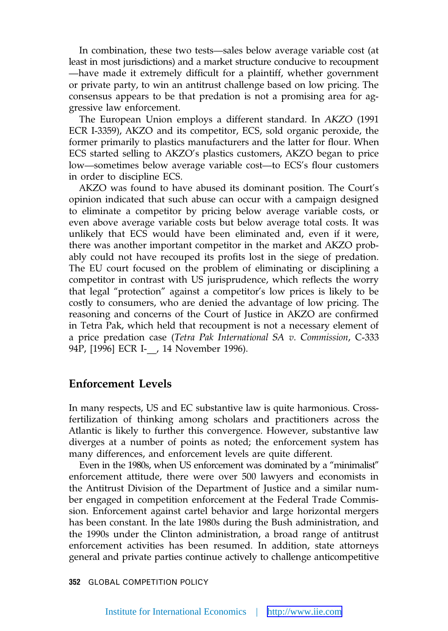In combination, these two tests—sales below average variable cost (at least in most jurisdictions) and a market structure conducive to recoupment have made it extremely difficult for a plaintiff, whether government or private party, to win an antitrust challenge based on low pricing. The consensus appears to be that predation is not a promising area for aggressive law enforcement.

The European Union employs a different standard. In AKZO (1991 ECR I-3359), AKZO and its competitor, ECS, sold organic peroxide, the former primarily to plastics manufacturers and the latter for flour. When ECS started selling to AKZO's plastics customers, AKZO began to price low—sometimes below average variable cost—to ECS's flour customers in order to discipline ECS.

AKZO was found to have abused its dominant position. The Court's opinion indicated that such abuse can occur with a campaign designed to eliminate a competitor by pricing below average variable costs, or even above average variable costs but below average total costs. It was unlikely that ECS would have been eliminated and, even if it were, there was another important competitor in the market and AKZO probably could not have recouped its profits lost in the siege of predation. The EU court focused on the problem of eliminating or disciplining a competitor in contrast with US jurisprudence, which reflects the worry that legal "protection" against a competitor's low prices is likely to be costly to consumers, who are denied the advantage of low pricing. The reasoning and concerns of the Court of Justice in AKZO are confirmed in Tetra Pak, which held that recoupment is not a necessary element of a price predation case (Tetra Pak International SA v. Commission, C-333 94P, [1996] ECR I- \_, 14 November 1996).

#### Enforcement Levels

In many respects, US and EC substantive law is quite harmonious. Crossfertilization of thinking among scholars and practitioners across the Atlantic is likely to further this convergence. However, substantive law diverges at a number of points as noted; the enforcement system has many differences, and enforcement levels are quite different.

Even in the 1980s, when US enforcement was dominated by a "minimalist" enforcement attitude, there were over 500 lawyers and economists in the Antitrust Division of the Department of Justice and a similar number engaged in competition enforcement at the Federal Trade Commission. Enforcement against cartel behavior and large horizontal mergers has been constant. In the late 1980s during the Bush administration, and the 1990s under the Clinton administration, a broad range of antitrust enforcement activities has been resumed. In addition, state attorneys general and private parties continue actively to challenge anticompetitive

#### 352 GLOBAL COMPETITION POLICY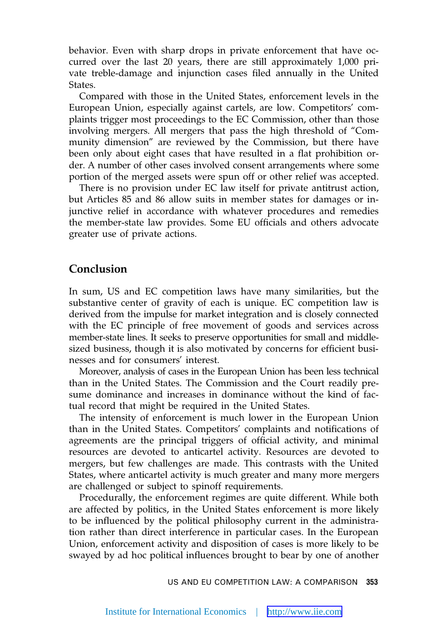behavior. Even with sharp drops in private enforcement that have occurred over the last 20 years, there are still approximately 1,000 private treble-damage and injunction cases filed annually in the United States.

Compared with those in the United States, enforcement levels in the European Union, especially against cartels, are low. Competitors' complaints trigger most proceedings to the EC Commission, other than those involving mergers. All mergers that pass the high threshold of "Community dimension" are reviewed by the Commission, but there have been only about eight cases that have resulted in a flat prohibition order. A number of other cases involved consent arrangements where some portion of the merged assets were spun off or other relief was accepted.

There is no provision under EC law itself for private antitrust action, but Articles 85 and 86 allow suits in member states for damages or injunctive relief in accordance with whatever procedures and remedies the member-state law provides. Some EU officials and others advocate greater use of private actions.

## Conclusion

In sum, US and EC competition laws have many similarities, but the substantive center of gravity of each is unique. EC competition law is derived from the impulse for market integration and is closely connected with the EC principle of free movement of goods and services across member-state lines. It seeks to preserve opportunities for small and middlesized business, though it is also motivated by concerns for efficient businesses and for consumers' interest.

Moreover, analysis of cases in the European Union has been less technical than in the United States. The Commission and the Court readily presume dominance and increases in dominance without the kind of factual record that might be required in the United States.

The intensity of enforcement is much lower in the European Union than in the United States. Competitors' complaints and notifications of agreements are the principal triggers of official activity, and minimal resources are devoted to anticartel activity. Resources are devoted to mergers, but few challenges are made. This contrasts with the United States, where anticartel activity is much greater and many more mergers are challenged or subject to spinoff requirements.

Procedurally, the enforcement regimes are quite different. While both are affected by politics, in the United States enforcement is more likely to be influenced by the political philosophy current in the administration rather than direct interference in particular cases. In the European Union, enforcement activity and disposition of cases is more likely to be swayed by ad hoc political influences brought to bear by one of another